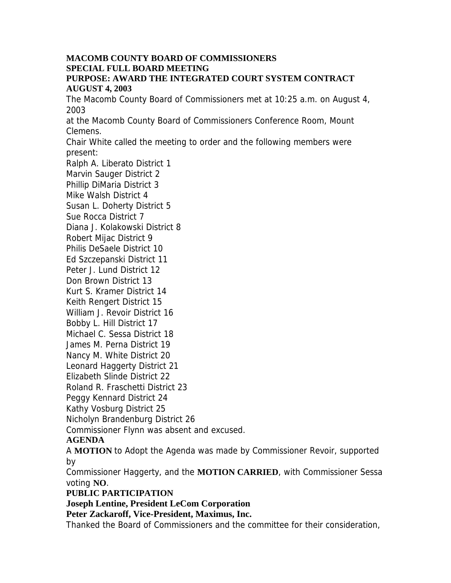### **MACOMB COUNTY BOARD OF COMMISSIONERS SPECIAL FULL BOARD MEETING PURPOSE: AWARD THE INTEGRATED COURT SYSTEM CONTRACT AUGUST 4, 2003**

The Macomb County Board of Commissioners met at 10:25 a.m. on August 4, 2003

at the Macomb County Board of Commissioners Conference Room, Mount Clemens.

Chair White called the meeting to order and the following members were present:

Ralph A. Liberato District 1 Marvin Sauger District 2 Phillip DiMaria District 3 Mike Walsh District 4 Susan L. Doherty District 5 Sue Rocca District 7 Diana J. Kolakowski District 8 Robert Mijac District 9 Philis DeSaele District 10 Ed Szczepanski District 11 Peter J. Lund District 12 Don Brown District 13 Kurt S. Kramer District 14 Keith Rengert District 15 William J. Revoir District 16 Bobby L. Hill District 17 Michael C. Sessa District 18 James M. Perna District 19 Nancy M. White District 20 Leonard Haggerty District 21 Elizabeth Slinde District 22 Roland R. Fraschetti District 23 Peggy Kennard District 24 Kathy Vosburg District 25 Nicholyn Brandenburg District 26 Commissioner Flynn was absent and excused.

# **AGENDA**

A **MOTION** to Adopt the Agenda was made by Commissioner Revoir, supported by

Commissioner Haggerty, and the **MOTION CARRIED**, with Commissioner Sessa voting **NO**.

# **PUBLIC PARTICIPATION**

**Joseph Lentine, President LeCom Corporation** 

**Peter Zackaroff, Vice-President, Maximus, Inc.** 

Thanked the Board of Commissioners and the committee for their consideration,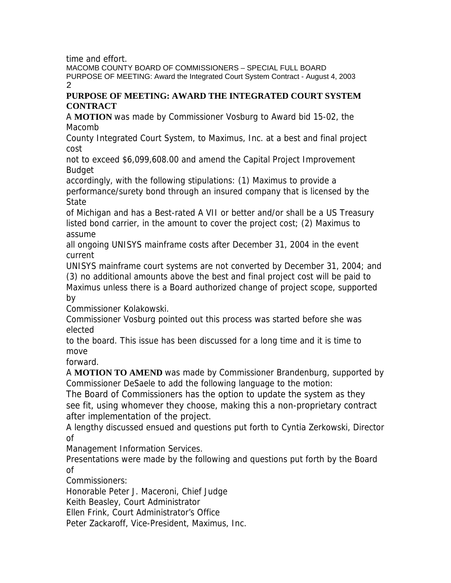time and effort.

MACOMB COUNTY BOARD OF COMMISSIONERS – SPECIAL FULL BOARD PURPOSE OF MEETING: Award the Integrated Court System Contract - August 4, 2003 2

### **PURPOSE OF MEETING: AWARD THE INTEGRATED COURT SYSTEM CONTRACT**

A **MOTION** was made by Commissioner Vosburg to Award bid 15-02, the Macomb

County Integrated Court System, to Maximus, Inc. at a best and final project cost

not to exceed \$6,099,608.00 and amend the Capital Project Improvement Budget

accordingly, with the following stipulations: (1) Maximus to provide a performance/surety bond through an insured company that is licensed by the State

of Michigan and has a Best-rated A VII or better and/or shall be a US Treasury listed bond carrier, in the amount to cover the project cost; (2) Maximus to assume

all ongoing UNISYS mainframe costs after December 31, 2004 in the event current

UNISYS mainframe court systems are not converted by December 31, 2004; and (3) no additional amounts above the best and final project cost will be paid to Maximus unless there is a Board authorized change of project scope, supported by

Commissioner Kolakowski.

Commissioner Vosburg pointed out this process was started before she was elected

to the board. This issue has been discussed for a long time and it is time to move

forward.

A **MOTION TO AMEND** was made by Commissioner Brandenburg, supported by Commissioner DeSaele to add the following language to the motion:

The Board of Commissioners has the option to update the system as they see fit, using whomever they choose, making this a non-proprietary contract after implementation of the project.

A lengthy discussed ensued and questions put forth to Cyntia Zerkowski, Director of

Management Information Services.

Presentations were made by the following and questions put forth by the Board of

Commissioners:

Honorable Peter J. Maceroni, Chief Judge

Keith Beasley, Court Administrator

Ellen Frink, Court Administrator's Office

Peter Zackaroff, Vice-President, Maximus, Inc.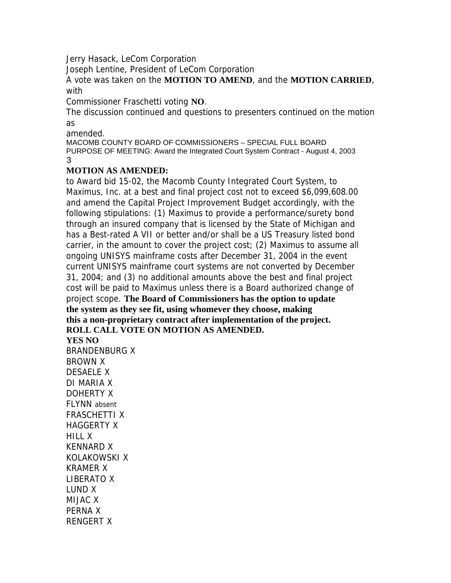Jerry Hasack, LeCom Corporation

Joseph Lentine, President of LeCom Corporation

A vote was taken on the **MOTION TO AMEND**, and the **MOTION CARRIED**, with

Commissioner Fraschetti voting **NO**.

The discussion continued and questions to presenters continued on the motion as

amended.

MACOMB COUNTY BOARD OF COMMISSIONERS – SPECIAL FULL BOARD PURPOSE OF MEETING: Award the Integrated Court System Contract - August 4, 2003 3

# **MOTION AS AMENDED:**

to Award bid 15-02, the Macomb County Integrated Court System, to Maximus, Inc. at a best and final project cost not to exceed \$6,099,608.00 and amend the Capital Project Improvement Budget accordingly, with the following stipulations: (1) Maximus to provide a performance/surety bond through an insured company that is licensed by the State of Michigan and has a Best-rated A VII or better and/or shall be a US Treasury listed bond carrier, in the amount to cover the project cost; (2) Maximus to assume all ongoing UNISYS mainframe costs after December 31, 2004 in the event current UNISYS mainframe court systems are not converted by December 31, 2004; and (3) no additional amounts above the best and final project cost will be paid to Maximus unless there is a Board authorized change of project scope. **The Board of Commissioners has the option to update the system as they see fit, using whomever they choose, making this a non-proprietary contract after implementation of the project. ROLL CALL VOTE ON MOTION AS AMENDED. YES NO**  BRANDENBURG X BROWN X DESAELE X DI MARIA X DOHERTY X FLYNN absent FRASCHETTI X

HAGGERTY X HILL X KENNARD X KOLAKOWSKI X KRAMER X LIBERATO X LUND X MIJAC X PERNA X

RENGERT X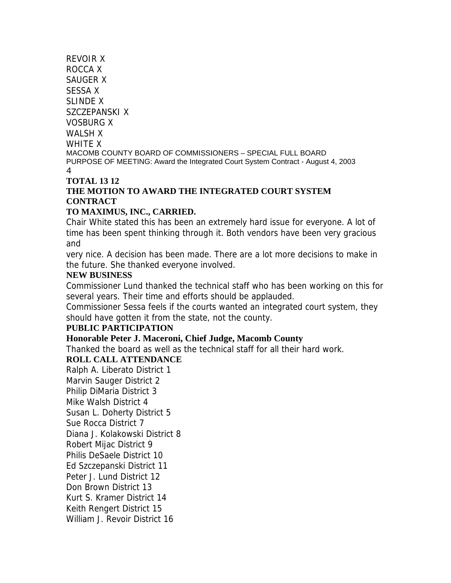# REVOIR X ROCCA X SAUGER X SESSA X SLINDE X SZCZEPANSKI X VOSBURG X WALSH X WHITF **X** MACOMB COUNTY BOARD OF COMMISSIONERS – SPECIAL FULL BOARD PURPOSE OF MEETING: Award the Integrated Court System Contract - August 4, 2003

#### 4

# **TOTAL 13 12 THE MOTION TO AWARD THE INTEGRATED COURT SYSTEM CONTRACT**

# **TO MAXIMUS, INC., CARRIED.**

Chair White stated this has been an extremely hard issue for everyone. A lot of time has been spent thinking through it. Both vendors have been very gracious and

very nice. A decision has been made. There are a lot more decisions to make in the future. She thanked everyone involved.

## **NEW BUSINESS**

Commissioner Lund thanked the technical staff who has been working on this for several years. Their time and efforts should be applauded.

Commissioner Sessa feels if the courts wanted an integrated court system, they should have gotten it from the state, not the county.

# **PUBLIC PARTICIPATION**

# **Honorable Peter J. Maceroni, Chief Judge, Macomb County**

Thanked the board as well as the technical staff for all their hard work.

# **ROLL CALL ATTENDANCE**

Ralph A. Liberato District 1 Marvin Sauger District 2 Philip DiMaria District 3 Mike Walsh District 4 Susan L. Doherty District 5 Sue Rocca District 7 Diana J. Kolakowski District 8 Robert Mijac District 9 Philis DeSaele District 10 Ed Szczepanski District 11 Peter J. Lund District 12 Don Brown District 13 Kurt S. Kramer District 14 Keith Rengert District 15 William J. Revoir District 16